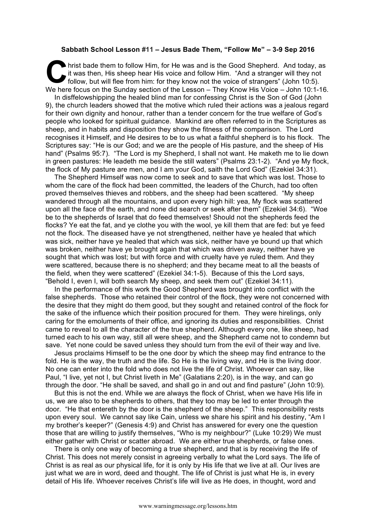## **Sabbath School Lesson #11 – Jesus Bade Them, "Follow Me" – 3-9 Sep 2016**

hrist bade them to follow Him, for He was and is the Good Shepherd. And today, as it was then, His sheep hear His voice and follow Him. "And a stranger will they not follow, but will flee from him: for they know not the voice of strangers" (John 10:5). We here focus on the Sunday section of the Lesson – They Know His Voice – John 10:1-16. **C** hris

In disffelowshipping the healed blind man for confessing Christ is the Son of God (John 9), the church leaders showed that the motive which ruled their actions was a jealous regard for their own dignity and honour, rather than a tender concern for the true welfare of God's people who looked for spiritual guidance. Mankind are often referred to in the Scriptures as sheep, and in habits and disposition they show the fitness of the comparison. The Lord recognises it Himself, and He desires to be to us what a faithful shepherd is to his flock. The Scriptures say: "He is our God; and we are the people of His pasture, and the sheep of His hand" (Psalms 95:7). "The Lord is my Shepherd, I shall not want. He maketh me to lie down in green pastures: He leadeth me beside the still waters" (Psalms 23:1-2). "And ye My flock, the flock of My pasture are men, and I am your God, saith the Lord God" (Ezekiel 34:31).

The Shepherd Himself was now come to seek and to save that which was lost. Those to whom the care of the flock had been committed, the leaders of the Church, had too often proved themselves thieves and robbers, and the sheep had been scattered. "My sheep wandered through all the mountains, and upon every high hill: yea, My flock was scattered upon all the face of the earth, and none did search or seek after them" (Ezekiel 34:6). "Woe be to the shepherds of Israel that do feed themselves! Should not the shepherds feed the flocks? Ye eat the fat, and ye clothe you with the wool, ye kill them that are fed: but ye feed not the flock. The diseased have ye not strengthened, neither have ye healed that which was sick, neither have ye healed that which was sick, neither have ye bound up that which was broken, neither have ye brought again that which was driven away, neither have ye sought that which was lost; but with force and with cruelty have ye ruled them. And they were scattered, because there is no shepherd; and they became meat to all the beasts of the field, when they were scattered" (Ezekiel 34:1-5). Because of this the Lord says, "Behold I, even I, will both search My sheep, and seek them out" (Ezekiel 34:11).

In the performance of this work the Good Shepherd was brought into conflict with the false shepherds. Those who retained their control of the flock, they were not concerned with the desire that they might do them good, but they sought and retained control of the flock for the sake of the influence which their position procured for them. They were hirelings, only caring for the emoluments of their office, and ignoring its duties and responsibilities. Christ came to reveal to all the character of the true shepherd. Although every one, like sheep, had turned each to his own way, still all were sheep, and the Shepherd came not to condemn but save. Yet none could be saved unless they should turn from the evil of their way and live.

Jesus proclaims Himself to be the one door by which the sheep may find entrance to the fold. He is the way, the truth and the life. So He is the living way, and He is the living door. No one can enter into the fold who does not live the life of Christ. Whoever can say, like Paul, "I live, yet not I, but Christ liveth in Me" (Galatians 2:20), is in the way, and can go through the door. "He shall be saved, and shall go in and out and find pasture" (John 10:9).

But this is not the end. While we are always the flock of Christ, when we have His life in us, we are also to be shepherds to others, that they too may be led to enter through the door. "He that entereth by the door is the shepherd of the sheep." This responsibility rests upon every soul. We cannot say like Cain, unless we share his spirit and his destiny, "Am I my brother's keeper?" (Genesis 4:9) and Christ has answered for every one the question those that are willing to justify themselves, "Who is my neighbour?" (Luke 10:29) We must either gather with Christ or scatter abroad. We are either true shepherds, or false ones.

There is only one way of becoming a true shepherd, and that is by receiving the life of Christ. This does not merely consist in agreeing verbally to what the Lord says. The life of Christ is as real as our physical life, for it is only by His life that we live at all. Our lives are just what we are in word, deed and thought. The life of Christ is just what He is, in every detail of His life. Whoever receives Christ's life will live as He does, in thought, word and